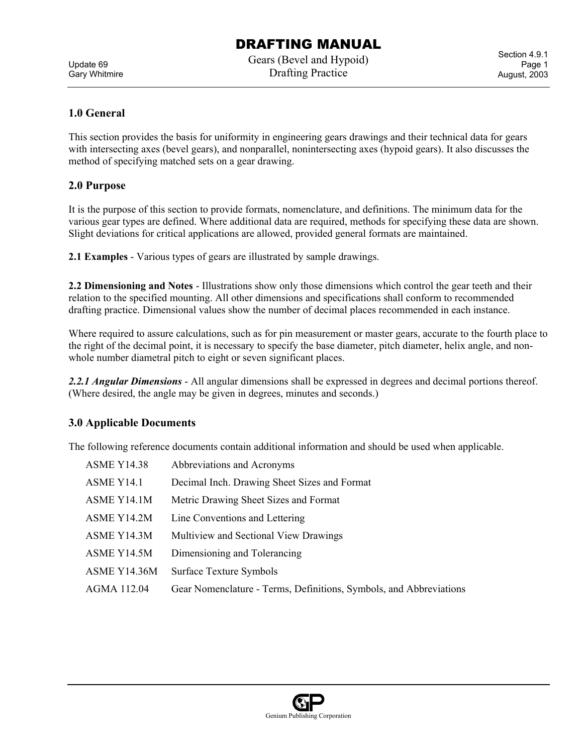Update 69 Gary Whitmire Gears (Bevel and Hypoid) Drafting Practice

Section 4.9.1 Page 1 August, 2003

### **1.0 General**

This section provides the basis for uniformity in engineering gears drawings and their technical data for gears with intersecting axes (bevel gears), and nonparallel, nonintersecting axes (hypoid gears). It also discusses the method of specifying matched sets on a gear drawing.

### **2.0 Purpose**

It is the purpose of this section to provide formats, nomenclature, and definitions. The minimum data for the various gear types are defined. Where additional data are required, methods for specifying these data are shown. Slight deviations for critical applications are allowed, provided general formats are maintained.

**2.1 Examples** - Various types of gears are illustrated by sample drawings.

**2.2 Dimensioning and Notes** - Illustrations show only those dimensions which control the gear teeth and their relation to the specified mounting. All other dimensions and specifications shall conform to recommended drafting practice. Dimensional values show the number of decimal places recommended in each instance.

Where required to assure calculations, such as for pin measurement or master gears, accurate to the fourth place to the right of the decimal point, it is necessary to specify the base diameter, pitch diameter, helix angle, and nonwhole number diametral pitch to eight or seven significant places.

*2.2.1 Angular Dimensions* - All angular dimensions shall be expressed in degrees and decimal portions thereof. (Where desired, the angle may be given in degrees, minutes and seconds.)

### **3.0 Applicable Documents**

The following reference documents contain additional information and should be used when applicable.

| <b>ASME Y14.38</b> | Abbreviations and Acronyms                                         |
|--------------------|--------------------------------------------------------------------|
| ASME Y14.1         | Decimal Inch. Drawing Sheet Sizes and Format                       |
| ASME Y14.1M        | Metric Drawing Sheet Sizes and Format                              |
| ASME Y14.2M        | Line Conventions and Lettering                                     |
| ASME Y14.3M        | Multiview and Sectional View Drawings                              |
| ASME Y14.5M        | Dimensioning and Tolerancing                                       |
| ASME Y14.36M       | <b>Surface Texture Symbols</b>                                     |
| AGMA 112.04        | Gear Nomenclature - Terms, Definitions, Symbols, and Abbreviations |
|                    |                                                                    |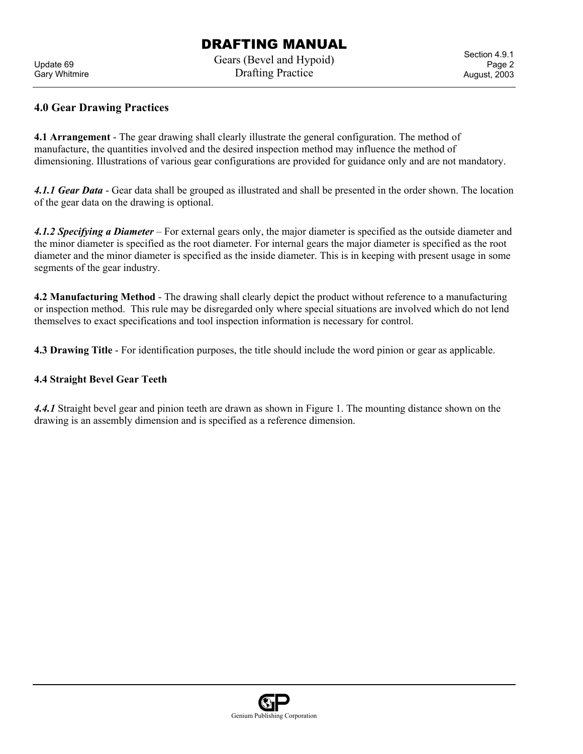Update 69 Gary Whitmire Gears (Bevel and Hypoid) Drafting Practice

Section 4.9.1 Page 2 August, 2003

### **4.0 Gear Drawing Practices**

**4.1 Arrangement** - The gear drawing shall clearly illustrate the general configuration. The method of manufacture, the quantities involved and the desired inspection method may influence the method of dimensioning. Illustrations of various gear configurations are provided for guidance only and are not mandatory.

*4.1.1 Gear Data* - Gear data shall be grouped as illustrated and shall be presented in the order shown. The location of the gear data on the drawing is optional.

*4.1.2 Specifying a Diameter* – For external gears only, the major diameter is specified as the outside diameter and the minor diameter is specified as the root diameter. For internal gears the major diameter is specified as the root diameter and the minor diameter is specified as the inside diameter. This is in keeping with present usage in some segments of the gear industry.

**4.2 Manufacturing Method** - The drawing shall clearly depict the product without reference to a manufacturing or inspection method. This rule may be disregarded only where special situations are involved which do not lend themselves to exact specifications and tool inspection information is necessary for control.

**4.3 Drawing Title** - For identification purposes, the title should include the word pinion or gear as applicable.

#### **4.4 Straight Bevel Gear Teeth**

*4.4.1* Straight bevel gear and pinion teeth are drawn as shown in Figure 1. The mounting distance shown on the drawing is an assembly dimension and is specified as a reference dimension.

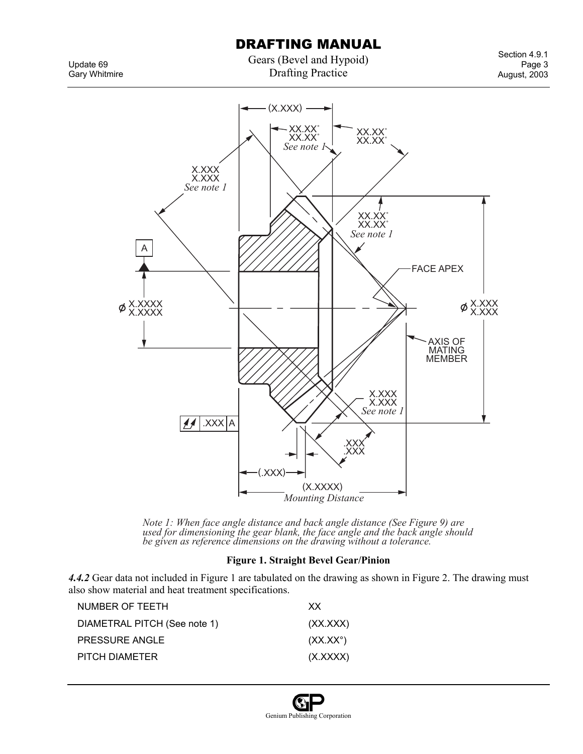Gears (Bevel and Hypoid) Drafting Practice

Update 69 Gary Whitmire





*Note 1: When face angle distance and back angle distance (See Figure 9) are used for dimensioning the gear blank, the face angle and the back angle should be given as reference dimensions on the drawing without a tolerance.*

#### **Figure 1. Straight Bevel Gear/Pinion**

*4.4.2* Gear data not included in Figure 1 are tabulated on the drawing as shown in Figure 2. The drawing must also show material and heat treatment specifications.

| NUMBER OF TEETH              | XX.               |
|------------------------------|-------------------|
| DIAMETRAL PITCH (See note 1) | (XX, XXX)         |
| <b>PRESSURE ANGLE</b>        | $(XX.XX^{\circ})$ |
| PITCH DIAMETER               | (X.XXX)           |
|                              |                   |

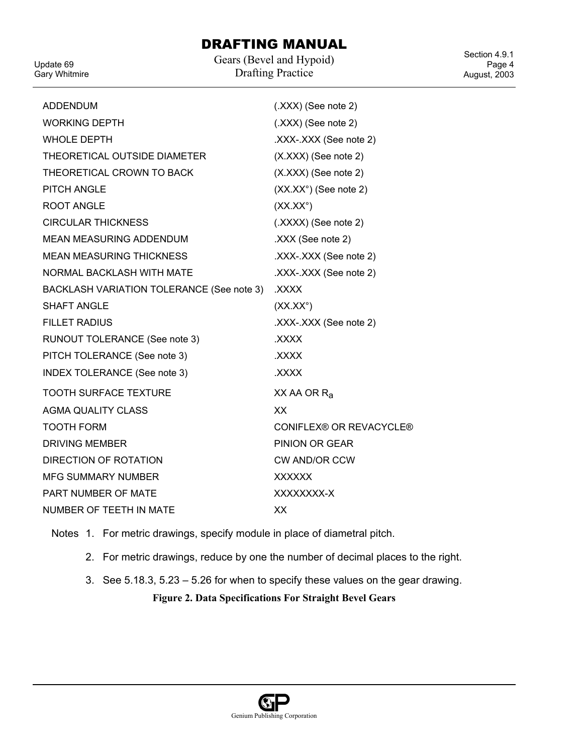Update 69 Gary Whitmire Gears (Bevel and Hypoid) Drafting Practice

Section 4.9.1 Page 4 August, 2003

| <b>ADDENDUM</b>                           | $(XXX)$ (See note 2)    |
|-------------------------------------------|-------------------------|
| <b>WORKING DEPTH</b>                      | $(XXX)$ (See note 2)    |
| <b>WHOLE DEPTH</b>                        | .XXX-.XXX (See note 2)  |
| THEORETICAL OUTSIDE DIAMETER              | $(X.XXX)$ (See note 2)  |
| THEORETICAL CROWN TO BACK                 | (X.XXX) (See note 2)    |
| <b>PITCH ANGLE</b>                        | (XX.XX°) (See note 2)   |
| <b>ROOT ANGLE</b>                         | $(XX.XX^{\circ})$       |
| <b>CIRCULAR THICKNESS</b>                 | (.XXXX) (See note 2)    |
| <b>MEAN MEASURING ADDENDUM</b>            | .XXX (See note 2)       |
| <b>MEAN MEASURING THICKNESS</b>           | .XXX-.XXX (See note 2)  |
| NORMAL BACKLASH WITH MATE                 | .XXX-.XXX (See note 2)  |
| BACKLASH VARIATION TOLERANCE (See note 3) | XXXX.                   |
| <b>SHAFT ANGLE</b>                        | $(XX.XX^{\circ})$       |
| <b>FILLET RADIUS</b>                      | .XXX-.XXX (See note 2)  |
| RUNOUT TOLERANCE (See note 3)             | <b>XXXX.</b>            |
| PITCH TOLERANCE (See note 3)              | <b>XXXX.</b>            |
| INDEX TOLERANCE (See note 3)              | <b>XXXX.</b>            |
| <b>TOOTH SURFACE TEXTURE</b>              | XX AA OR $Ra$           |
| <b>AGMA QUALITY CLASS</b>                 | XX                      |
| <b>TOOTH FORM</b>                         | CONIFLEX® OR REVACYCLE® |
| <b>DRIVING MEMBER</b>                     | PINION OR GEAR          |
| DIRECTION OF ROTATION                     | <b>CW AND/OR CCW</b>    |
| <b>MFG SUMMARY NUMBER</b>                 | <b>XXXXXX</b>           |
| <b>PART NUMBER OF MATE</b>                | XXXXXXXX-X              |
| NUMBER OF TEETH IN MATE                   | XX                      |

Notes 1. For metric drawings, specify module in place of diametral pitch.

- 2. For metric drawings, reduce by one the number of decimal places to the right.
- 3. See 5.18.3, 5.23 5.26 for when to specify these values on the gear drawing.

**Figure 2. Data Specifications For Straight Bevel Gears** 

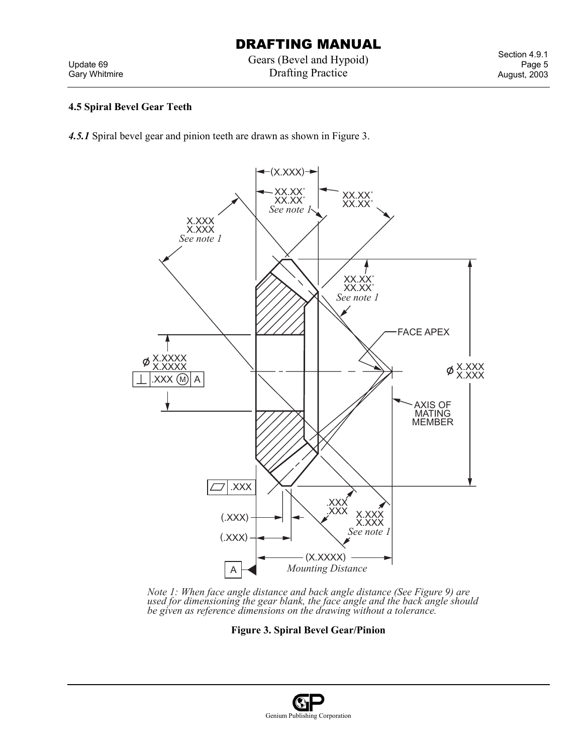Update 69 Gary Whitmire Gears (Bevel and Hypoid) Drafting Practice

Section 4.9.1 Page 5 August, 2003

### **4.5 Spiral Bevel Gear Teeth**

*4.5.1* Spiral bevel gear and pinion teeth are drawn as shown in Figure 3.



*Note 1: When face angle distance and back angle distance (See Figure 9) are*  used for dimensioning the gear blank, the face angle and the back angle should *be given as reference dimensions on the drawing without a tolerance.*

**Figure 3. Spiral Bevel Gear/Pinion** 

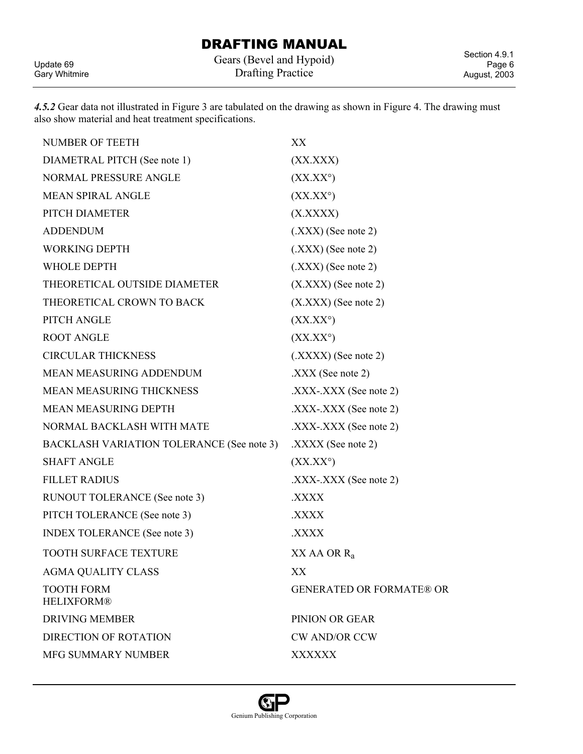Update 69 Gary Whitmire Gears (Bevel and Hypoid) Drafting Practice

Section 4.9.1 Page 6 August, 2003

*4.5.2* Gear data not illustrated in Figure 3 are tabulated on the drawing as shown in Figure 4. The drawing must also show material and heat treatment specifications.

| <b>NUMBER OF TEETH</b>                    | XХ                              |
|-------------------------------------------|---------------------------------|
| DIAMETRAL PITCH (See note 1)              | (XX.XXX)                        |
| NORMAL PRESSURE ANGLE                     | $(XX,XX^{\circ})$               |
| <b>MEAN SPIRAL ANGLE</b>                  | $(XX,XX^{\circ})$               |
| PITCH DIAMETER                            | (X. XXXX)                       |
| <b>ADDENDUM</b>                           | $(XXX)$ (See note 2)            |
| <b>WORKING DEPTH</b>                      | $(XXX)$ (See note 2)            |
| <b>WHOLE DEPTH</b>                        | $(XXX)$ (See note 2)            |
| THEORETICAL OUTSIDE DIAMETER              | $(X. XXX)$ (See note 2)         |
| THEORETICAL CROWN TO BACK                 | $(X. XXX)$ (See note 2)         |
| PITCH ANGLE                               | $(XX,XX^{\circ})$               |
| <b>ROOT ANGLE</b>                         | $(XX,XX^{\circ})$               |
| <b>CIRCULAR THICKNESS</b>                 | $(XXXX)$ (See note 2)           |
| <b>MEAN MEASURING ADDENDUM</b>            | $\text{.XXX}$ (See note 2)      |
| <b>MEAN MEASURING THICKNESS</b>           | $\text{.XXX-}.XXX$ (See note 2) |
| <b>MEAN MEASURING DEPTH</b>               | $\text{.XXX-}.XXX$ (See note 2) |
| NORMAL BACKLASH WITH MATE                 | $\text{.XXX-}.XXX$ (See note 2) |
| BACKLASH VARIATION TOLERANCE (See note 3) | $\text{.XXX}$ (See note 2)      |
| <b>SHAFT ANGLE</b>                        | $(XX,XX^{\circ})$               |
| <b>FILLET RADIUS</b>                      | $\text{.XXX-}.XXX$ (See note 2) |
| RUNOUT TOLERANCE (See note 3)             | XXXX.                           |
| PITCH TOLERANCE (See note 3)              | XXXX.                           |
| <b>INDEX TOLERANCE</b> (See note 3)       | XXXX.                           |
| <b>TOOTH SURFACE TEXTURE</b>              | $XX$ AA OR $R_a$                |
| <b>AGMA QUALITY CLASS</b>                 | XX                              |
| <b>TOOTH FORM</b><br><b>HELIXFORM®</b>    | <b>GENERATED OR FORMATE® OR</b> |
| <b>DRIVING MEMBER</b>                     | PINION OR GEAR                  |
| <b>DIRECTION OF ROTATION</b>              | <b>CW AND/OR CCW</b>            |
| MFG SUMMARY NUMBER                        | <b>XXXXXX</b>                   |

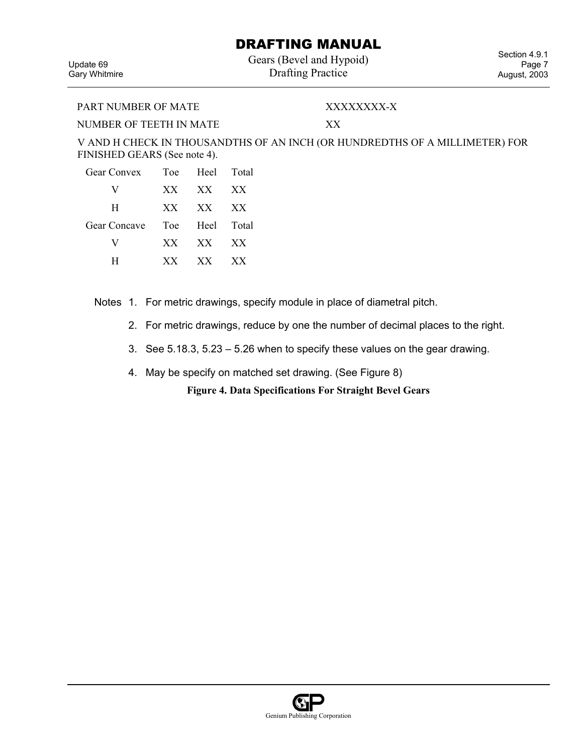Gears (Bevel and Hypoid) Drafting Practice

Update 69 Gary Whitmire

Section 4.9.1 Page 7 August, 2003

PART NUMBER OF MATE XXXXXXXX-X

NUMBER OF TEETH IN MATE XX

V AND H CHECK IN THOUSANDTHS OF AN INCH (OR HUNDREDTHS OF A MILLIMETER) FOR FINISHED GEARS (See note 4).

| <b>Gear Convex</b>  |     | Toe Heel Total |                 |
|---------------------|-----|----------------|-----------------|
| V                   | XX  | XX             | XX              |
| H                   | XX. | XX             | XX              |
| <b>Gear Concave</b> |     | Toe Heel Total |                 |
| V                   | XX  | XX             | XX <sup>X</sup> |
| н                   | XX. | XX             | XX              |

Notes 1. For metric drawings, specify module in place of diametral pitch.

- 2. For metric drawings, reduce by one the number of decimal places to the right.
- 3. See 5.18.3, 5.23 5.26 when to specify these values on the gear drawing.
- 4. May be specify on matched set drawing. (See Figure 8)

**Figure 4. Data Specifications For Straight Bevel Gears**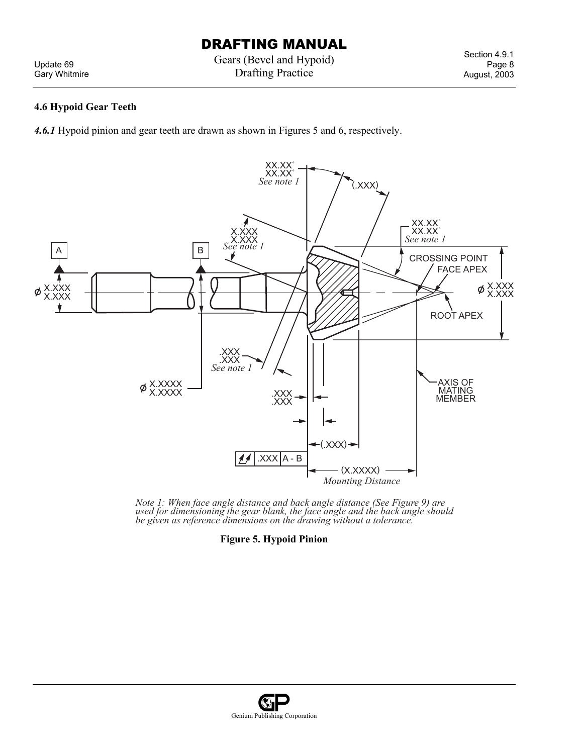Update 69 Gary Whitmire Gears (Bevel and Hypoid) Drafting Practice

Section 4.9.1 Page 8 August, 2003

#### **4.6 Hypoid Gear Teeth**

*4.6.1* Hypoid pinion and gear teeth are drawn as shown in Figures 5 and 6, respectively.



*Note 1: When face angle distance and back angle distance (See Figure 9) are used for dimensioning the gear blank, the face angle and the back angle should be given as reference dimensions on the drawing without a tolerance.*

**Figure 5. Hypoid Pinion** 

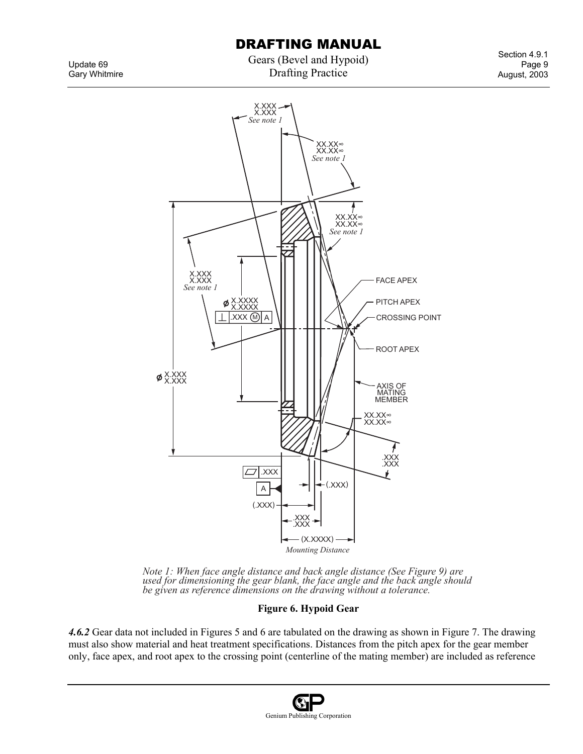Gears (Bevel and Hypoid) Drafting Practice

Section 4.9.1 Page 9 August, 2003





*4.6.2* Gear data not included in Figures 5 and 6 are tabulated on the drawing as shown in Figure 7. The drawing must also show material and heat treatment specifications. Distances from the pitch apex for the gear member only, face apex, and root apex to the crossing point (centerline of the mating member) are included as reference





Update 69 Gary Whitmire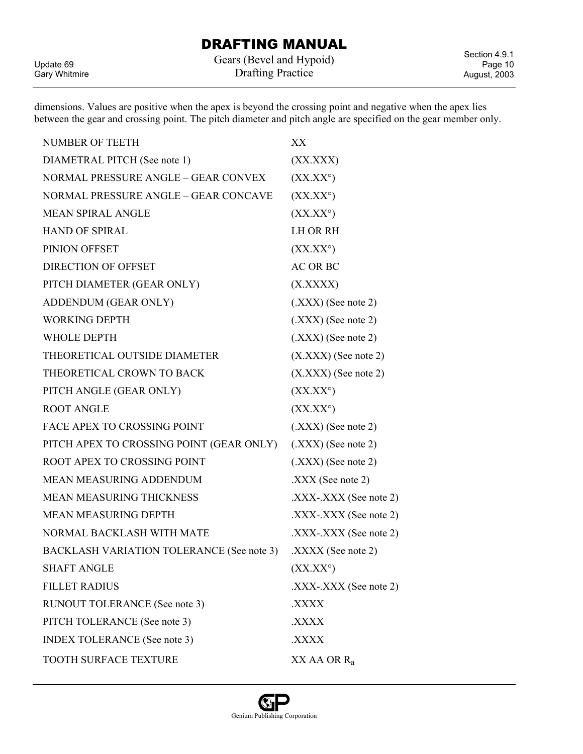Update 69 Gary Whitmire Gears (Bevel and Hypoid) Drafting Practice

Section 4.9.1 Page 10 August, 2003

dimensions. Values are positive when the apex is beyond the crossing point and negative when the apex lies between the gear and crossing point. The pitch diameter and pitch angle are specified on the gear member only.

| <b>NUMBER OF TEETH</b>                           | XX                                                |
|--------------------------------------------------|---------------------------------------------------|
| DIAMETRAL PITCH (See note 1)                     | (XXXXX)                                           |
| NORMAL PRESSURE ANGLE - GEAR CONVEX              | $(XX,XX^{\circ})$                                 |
| NORMAL PRESSURE ANGLE - GEAR CONCAVE             | $(XX.XX^{\circ})$                                 |
| <b>MEAN SPIRAL ANGLE</b>                         | $(XX,XX^{\circ})$                                 |
| <b>HAND OF SPIRAL</b>                            | <b>LH OR RH</b>                                   |
| PINION OFFSET                                    | $(XX,XX^{\circ})$                                 |
| <b>DIRECTION OF OFFSET</b>                       | <b>AC OR BC</b>                                   |
| PITCH DIAMETER (GEAR ONLY)                       | (X. XXXX)                                         |
| ADDENDUM (GEAR ONLY)                             | $(XXX)$ (See note 2)                              |
| <b>WORKING DEPTH</b>                             | $(XXX)$ (See note 2)                              |
| <b>WHOLE DEPTH</b>                               | $(XXX)$ (See note 2)                              |
| THEORETICAL OUTSIDE DIAMETER                     | $(X. XXX)$ (See note 2)                           |
| THEORETICAL CROWN TO BACK                        | $(X. XXX)$ (See note 2)                           |
| PITCH ANGLE (GEAR ONLY)                          | $(XX,XX^{\circ})$                                 |
| <b>ROOT ANGLE</b>                                | $(XX,XX^{\circ})$                                 |
| <b>FACE APEX TO CROSSING POINT</b>               | $(XXX)$ (See note 2)                              |
| PITCH APEX TO CROSSING POINT (GEAR ONLY)         | $(XXX)$ (See note 2)                              |
| ROOT APEX TO CROSSING POINT                      | $(XXX)$ (See note 2)                              |
| MEAN MEASURING ADDENDUM                          | $\text{.XXX}$ (See note 2)                        |
| <b>MEAN MEASURING THICKNESS</b>                  | $\text{XXX-XXX}$ (See note 2).                    |
| <b>MEAN MEASURING DEPTH</b>                      | $\text{.XXX-XXX}$ (See note 2)                    |
| NORMAL BACKLASH WITH MATE                        | $\text{.XXX-}.XXX$ (See note 2)                   |
| <b>BACKLASH VARIATION TOLERANCE (See note 3)</b> | $\text{.XXX}$ (See note 2)                        |
| <b>SHAFT ANGLE</b>                               | $(XX,XX^{\circ})$                                 |
| <b>FILLET RADIUS</b>                             | $\overline{XXX}$ - $\overline{XXX}$ (See note 2). |
| RUNOUT TOLERANCE (See note 3)                    | XXXX.                                             |
| PITCH TOLERANCE (See note 3)                     | XXXX.                                             |
| <b>INDEX TOLERANCE</b> (See note 3)              | <b>XXXX</b>                                       |
| TOOTH SURFACE TEXTURE                            | $XX$ AA OR $R_a$                                  |
|                                                  |                                                   |

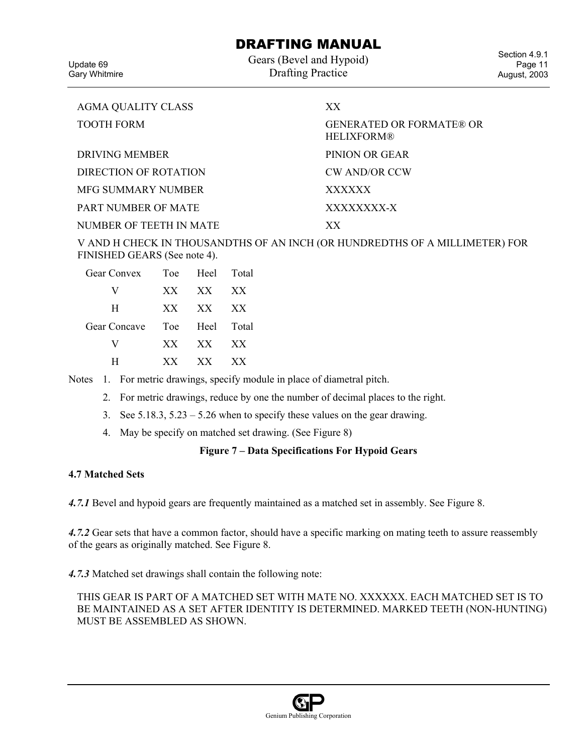Update 69 Gary Whitmire Gears (Bevel and Hypoid) Drafting Practice

Section 4.9.1 Page 11 August, 2003

| <b>AGMA QUALITY CLASS</b> | XX.                                                  |
|---------------------------|------------------------------------------------------|
| <b>TOOTH FORM</b>         | <b>GENERATED OR FORMATE® OR</b><br><b>HELIXFORM®</b> |
| DRIVING MEMBER            | PINION OR GEAR                                       |
| DIRECTION OF ROTATION     | <b>CW AND/OR CCW</b>                                 |
| MFG SUMMARY NUMBER        | <b>XXXXXX</b>                                        |
| PART NUMBER OF MATE       | XXXXXXX-X                                            |
| NUMBER OF TEETH IN MATE   | XX.                                                  |

V AND H CHECK IN THOUSANDTHS OF AN INCH (OR HUNDREDTHS OF A MILLIMETER) FOR FINISHED GEARS (See note 4).

| <b>Gear Convex</b> |     | Toe Heel Total |                 |
|--------------------|-----|----------------|-----------------|
| V                  | XX. | XX             | XX <sup>X</sup> |
| H                  | XX  | XX             | XX              |
| Gear Concave       | Toe | Heel Total     |                 |
| V                  | XX  | XX             | XX              |
| н                  | XX. | X X            | XX.             |

Notes 1. For metric drawings, specify module in place of diametral pitch.

- 2. For metric drawings, reduce by one the number of decimal places to the right.
- 3. See 5.18.3, 5.23 5.26 when to specify these values on the gear drawing.
- 4. May be specify on matched set drawing. (See Figure 8)

### **Figure 7 – Data Specifications For Hypoid Gears**

#### **4.7 Matched Sets**

*4.7.1* Bevel and hypoid gears are frequently maintained as a matched set in assembly. See Figure 8.

*4.7.2* Gear sets that have a common factor, should have a specific marking on mating teeth to assure reassembly of the gears as originally matched. See Figure 8.

*4.7.3* Matched set drawings shall contain the following note:

THIS GEAR IS PART OF A MATCHED SET WITH MATE NO. XXXXXX. EACH MATCHED SET IS TO BE MAINTAINED AS A SET AFTER IDENTITY IS DETERMINED. MARKED TEETH (NON-HUNTING) MUST BE ASSEMBLED AS SHOWN.

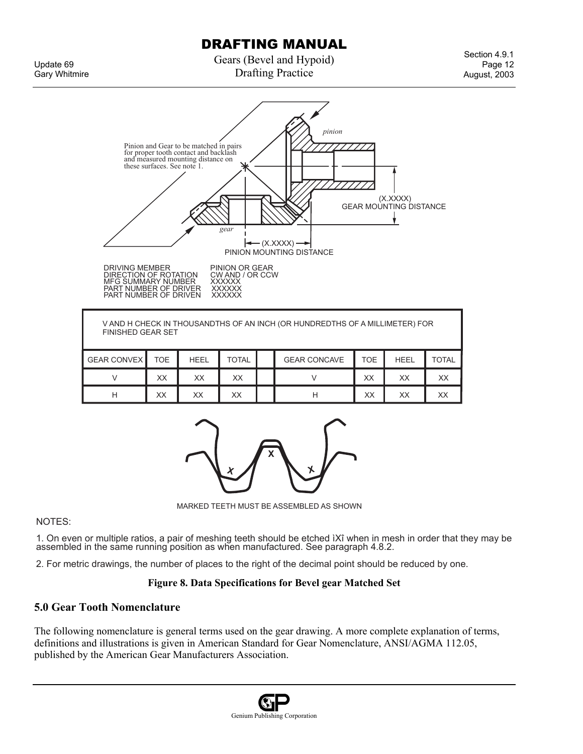Update 69 Gary Whitmire Gears (Bevel and Hypoid) Drafting Practice

Section 4.9.1 Page 12 August, 2003



| V AND H CHECK IN THOUSANDTHS OF AN INCH (OR HUNDREDTHS OF A MILLIMETER) FOR<br><b>FINISHED GEAR SET</b> |     |             |       |  |                     |            |             |              |
|---------------------------------------------------------------------------------------------------------|-----|-------------|-------|--|---------------------|------------|-------------|--------------|
| <b>GEAR CONVEX</b>                                                                                      | TOE | <b>HEEL</b> | TOTAL |  | <b>GEAR CONCAVE</b> | <b>TOE</b> | <b>HEEL</b> | <b>TOTAL</b> |
|                                                                                                         | XX  | XX          | XX    |  |                     | XX         | XX          | XX           |
| Н                                                                                                       | XX  | XX          | XX    |  | н                   | XХ         | XX          | XX           |



MARKED TEETH MUST BE ASSEMBLED AS SHOWN

NOTES:

1. On even or multiple ratios, a pair of meshing teeth should be etched ìXî when in mesh in order that they may be assembled in the same running position as when manufactured. See paragraph 4.8.2.

2. For metric drawings, the number of places to the right of the decimal point should be reduced by one.

#### **Figure 8. Data Specifications for Bevel gear Matched Set**

### **5.0 Gear Tooth Nomenclature**

The following nomenclature is general terms used on the gear drawing. A more complete explanation of terms, definitions and illustrations is given in American Standard for Gear Nomenclature, ANSI/AGMA 112.05, published by the American Gear Manufacturers Association.

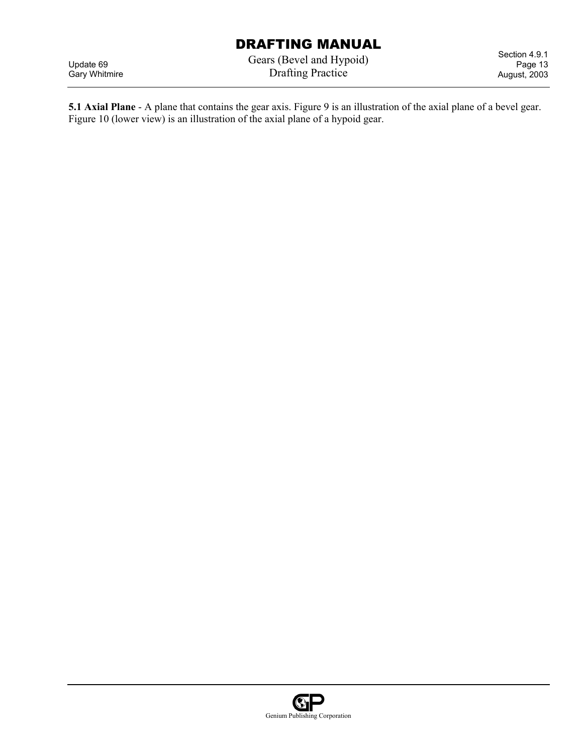Update 69 Gary Whitmire Gears (Bevel and Hypoid) Drafting Practice

Section 4.9.1 Page 13 August, 2003

**5.1 Axial Plane** - A plane that contains the gear axis. Figure 9 is an illustration of the axial plane of a bevel gear. Figure 10 (lower view) is an illustration of the axial plane of a hypoid gear.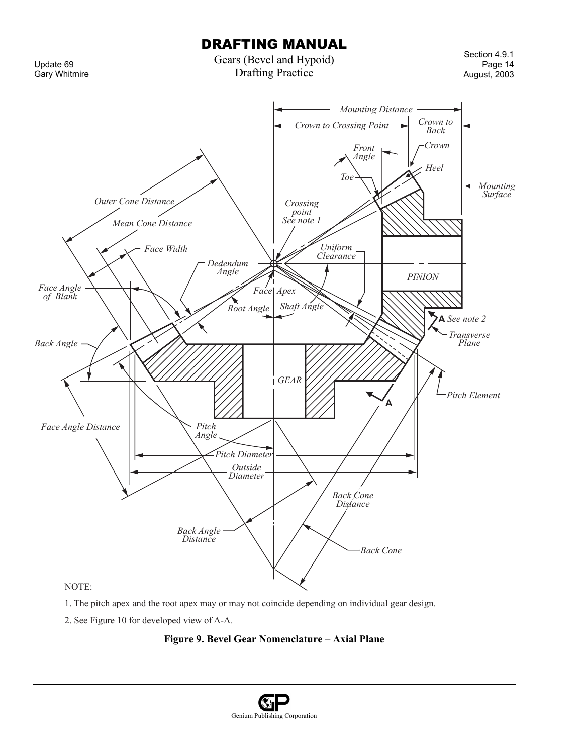Update 69 Gary Whitmire Gears (Bevel and Hypoid) Drafting Practice

Section 4.9.1 Page 14 August, 2003



- 1. The pitch apex and the root apex may or may not coincide depending on individual gear design.
- 2. See Figure 10 for developed view of A-A.

### **Figure 9. Bevel Gear Nomenclature – Axial Plane**

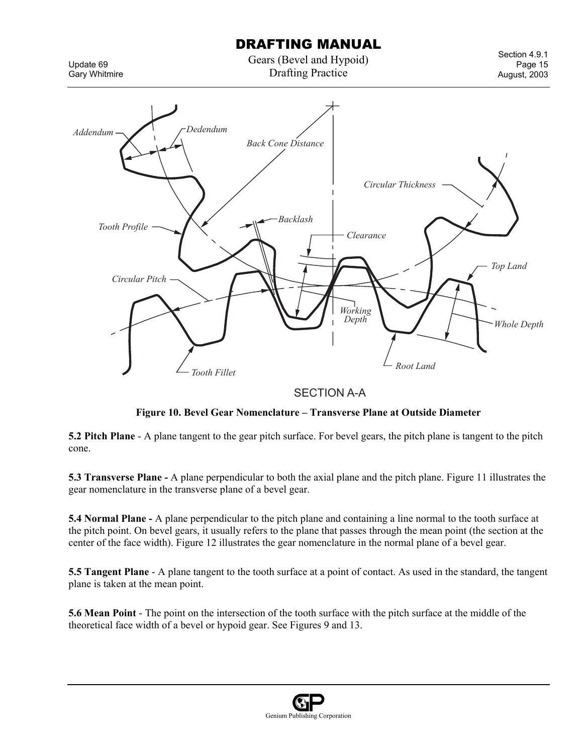Gears (Bevel and Hypoid) Drafting Practice

Update 69 Gary Whitmire

Section 4.9.1 Page 15 August, 2003



### SECTION A-A

### **Figure 10. Bevel Gear Nomenclature – Transverse Plane at Outside Diameter**

**5.2 Pitch Plane** - A plane tangent to the gear pitch surface. For bevel gears, the pitch plane is tangent to the pitch cone.

**5.3 Transverse Plane -** A plane perpendicular to both the axial plane and the pitch plane. Figure 11 illustrates the gear nomenclature in the transverse plane of a bevel gear.

**5.4 Normal Plane -** A plane perpendicular to the pitch plane and containing a line normal to the tooth surface at the pitch point. On bevel gears, it usually refers to the plane that passes through the mean point (the section at the center of the face width). Figure 12 illustrates the gear nomenclature in the normal plane of a bevel gear.

**5.5 Tangent Plane** - A plane tangent to the tooth surface at a point of contact. As used in the standard, the tangent plane is taken at the mean point.

**5.6 Mean Point** - The point on the intersection of the tooth surface with the pitch surface at the middle of the theoretical face width of a bevel or hypoid gear. See Figures 9 and 13.

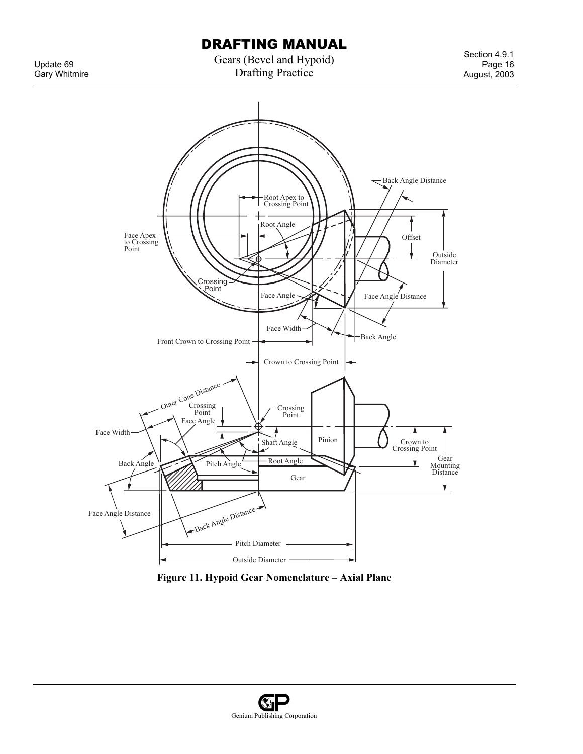Update 69 Gary Whitmire Gears (Bevel and Hypoid) Drafting Practice

Section 4.9.1 Page 16 August, 2003



**Figure 11. Hypoid Gear Nomenclature – Axial Plane** 

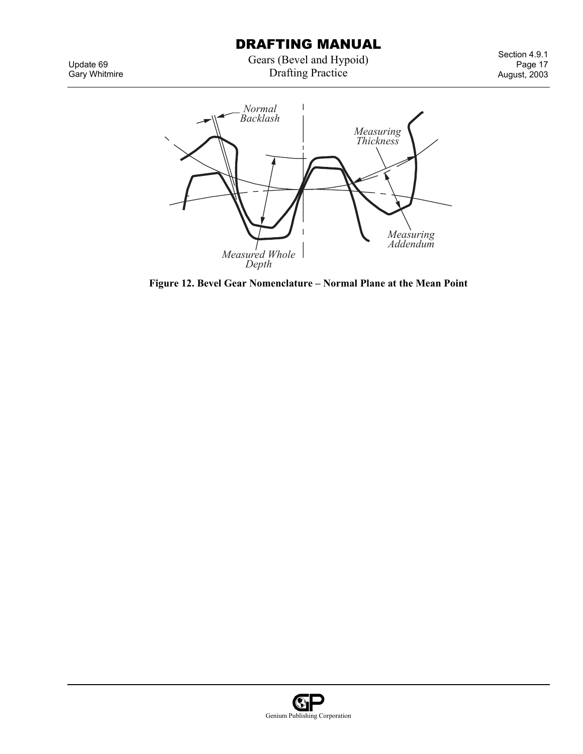Gears (Bevel and Hypoid) Drafting Practice

Section 4.9.1 Page 17 August, 2003

*Normal* ı *Backlash Measuring Thickness Measuring Addendum Measured Whole Depth*

**Figure 12. Bevel Gear Nomenclature – Normal Plane at the Mean Point** 

Update 69 Gary Whitmire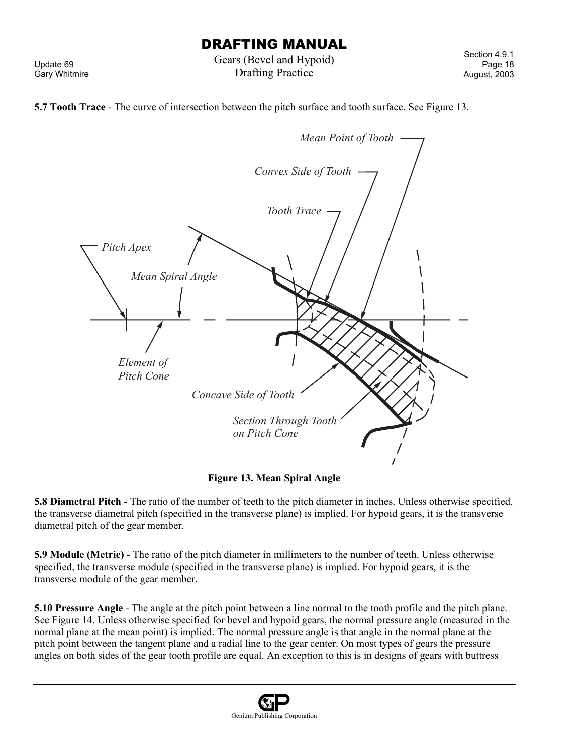Update 69 Gary Whitmire





**Figure 13. Mean Spiral Angle** 

**5.8 Diametral Pitch** - The ratio of the number of teeth to the pitch diameter in inches. Unless otherwise specified, the transverse diametral pitch (specified in the transverse plane) is implied. For hypoid gears, it is the transverse diametral pitch of the gear member.

**5.9 Module (Metric)** - The ratio of the pitch diameter in millimeters to the number of teeth. Unless otherwise specified, the transverse module (specified in the transverse plane) is implied. For hypoid gears, it is the transverse module of the gear member.

**5.10 Pressure Angle** - The angle at the pitch point between a line normal to the tooth profile and the pitch plane. See Figure 14. Unless otherwise specified for bevel and hypoid gears, the normal pressure angle (measured in the normal plane at the mean point) is implied. The normal pressure angle is that angle in the normal plane at the pitch point between the tangent plane and a radial line to the gear center. On most types of gears the pressure angles on both sides of the gear tooth profile are equal. An exception to this is in designs of gears with buttress

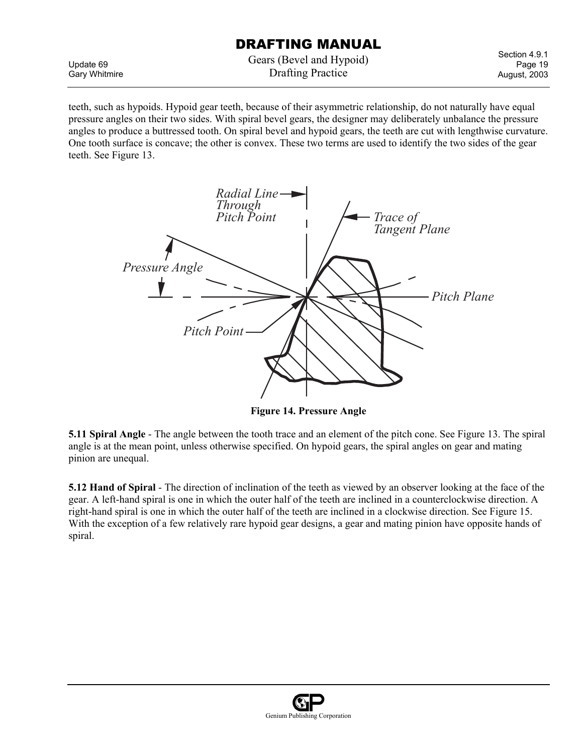Update 69 Gary Whitmire Gears (Bevel and Hypoid) Drafting Practice

Section 4.9.1 Page 19 August, 2003

teeth, such as hypoids. Hypoid gear teeth, because of their asymmetric relationship, do not naturally have equal pressure angles on their two sides. With spiral bevel gears, the designer may deliberately unbalance the pressure angles to produce a buttressed tooth. On spiral bevel and hypoid gears, the teeth are cut with lengthwise curvature. One tooth surface is concave; the other is convex. These two terms are used to identify the two sides of the gear teeth. See Figure 13.



**Figure 14. Pressure Angle** 

**5.11 Spiral Angle** - The angle between the tooth trace and an element of the pitch cone. See Figure 13. The spiral angle is at the mean point, unless otherwise specified. On hypoid gears, the spiral angles on gear and mating pinion are unequal.

**5.12 Hand of Spiral** - The direction of inclination of the teeth as viewed by an observer looking at the face of the gear. A left-hand spiral is one in which the outer half of the teeth are inclined in a counterclockwise direction. A right-hand spiral is one in which the outer half of the teeth are inclined in a clockwise direction. See Figure 15. With the exception of a few relatively rare hypoid gear designs, a gear and mating pinion have opposite hands of spiral.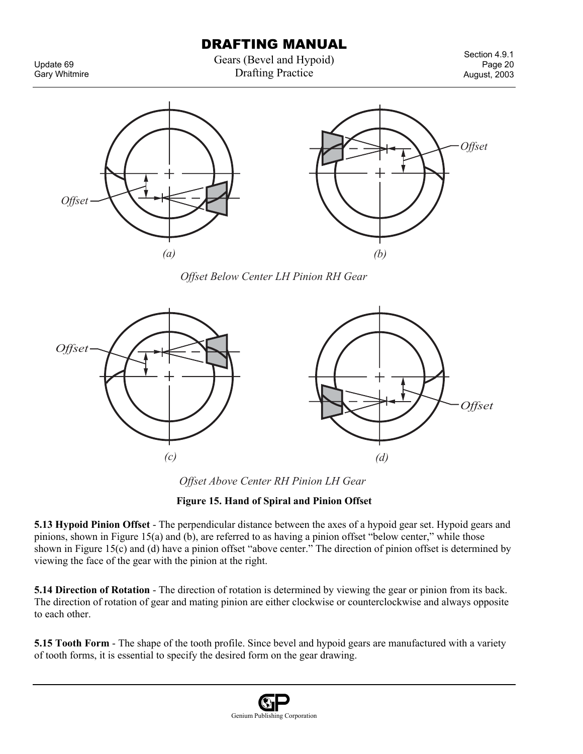Update 69 Gary Whitmire Gears (Bevel and Hypoid) Drafting Practice

Section 4.9.1 Page 20 August, 2003



*Offset Below Center LH Pinion RH Gear*



*Offset Above Center RH Pinion LH Gear*

### **Figure 15. Hand of Spiral and Pinion Offset**

**5.13 Hypoid Pinion Offset** - The perpendicular distance between the axes of a hypoid gear set. Hypoid gears and pinions, shown in Figure 15(a) and (b), are referred to as having a pinion offset "below center," while those shown in Figure 15(c) and (d) have a pinion offset "above center." The direction of pinion offset is determined by viewing the face of the gear with the pinion at the right.

**5.14 Direction of Rotation** - The direction of rotation is determined by viewing the gear or pinion from its back. The direction of rotation of gear and mating pinion are either clockwise or counterclockwise and always opposite to each other.

**5.15 Tooth Form** - The shape of the tooth profile. Since bevel and hypoid gears are manufactured with a variety of tooth forms, it is essential to specify the desired form on the gear drawing.

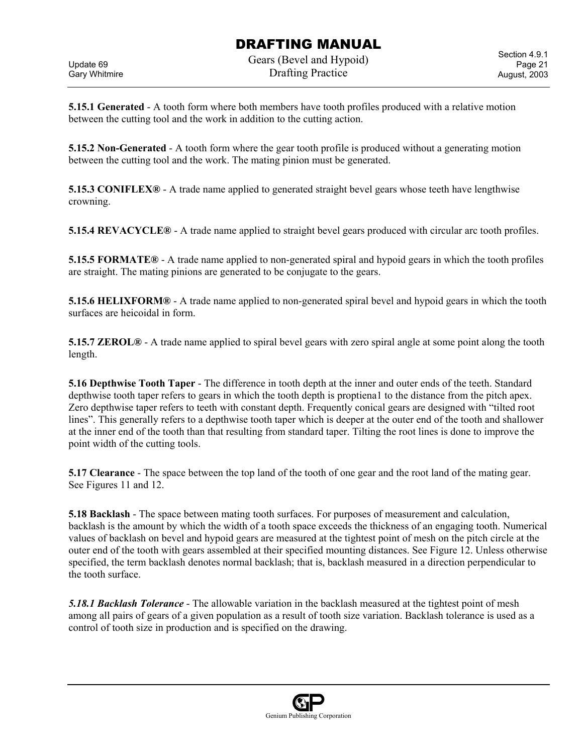Update 69 Gary Whitmire Gears (Bevel and Hypoid) Drafting Practice

Section 4.9.1 Page 21 August, 2003

**5.15.1 Generated** - A tooth form where both members have tooth profiles produced with a relative motion between the cutting tool and the work in addition to the cutting action.

**5.15.2 Non-Generated** - A tooth form where the gear tooth profile is produced without a generating motion between the cutting tool and the work. The mating pinion must be generated.

**5.15.3 CONIFLEX®** - A trade name applied to generated straight bevel gears whose teeth have lengthwise crowning.

**5.15.4 REVACYCLE®** - A trade name applied to straight bevel gears produced with circular arc tooth profiles.

**5.15.5 FORMATE®** - A trade name applied to non-generated spiral and hypoid gears in which the tooth profiles are straight. The mating pinions are generated to be conjugate to the gears.

**5.15.6 HELIXFORM®** - A trade name applied to non-generated spiral bevel and hypoid gears in which the tooth surfaces are heicoidal in form.

**5.15.7 ZEROL®** - A trade name applied to spiral bevel gears with zero spiral angle at some point along the tooth length.

**5.16 Depthwise Tooth Taper** - The difference in tooth depth at the inner and outer ends of the teeth. Standard depthwise tooth taper refers to gears in which the tooth depth is proptiena1 to the distance from the pitch apex. Zero depthwise taper refers to teeth with constant depth. Frequently conical gears are designed with "tilted root lines". This generally refers to a depthwise tooth taper which is deeper at the outer end of the tooth and shallower at the inner end of the tooth than that resulting from standard taper. Tilting the root lines is done to improve the point width of the cutting tools.

**5.17 Clearance** - The space between the top land of the tooth of one gear and the root land of the mating gear. See Figures 11 and 12.

**5.18 Backlash** - The space between mating tooth surfaces. For purposes of measurement and calculation, backlash is the amount by which the width of a tooth space exceeds the thickness of an engaging tooth. Numerical values of backlash on bevel and hypoid gears are measured at the tightest point of mesh on the pitch circle at the outer end of the tooth with gears assembled at their specified mounting distances. See Figure 12. Unless otherwise specified, the term backlash denotes normal backlash; that is, backlash measured in a direction perpendicular to the tooth surface.

*5.18.1 Backlash Tolerance* - The allowable variation in the backlash measured at the tightest point of mesh among all pairs of gears of a given population as a result of tooth size variation. Backlash tolerance is used as a control of tooth size in production and is specified on the drawing.

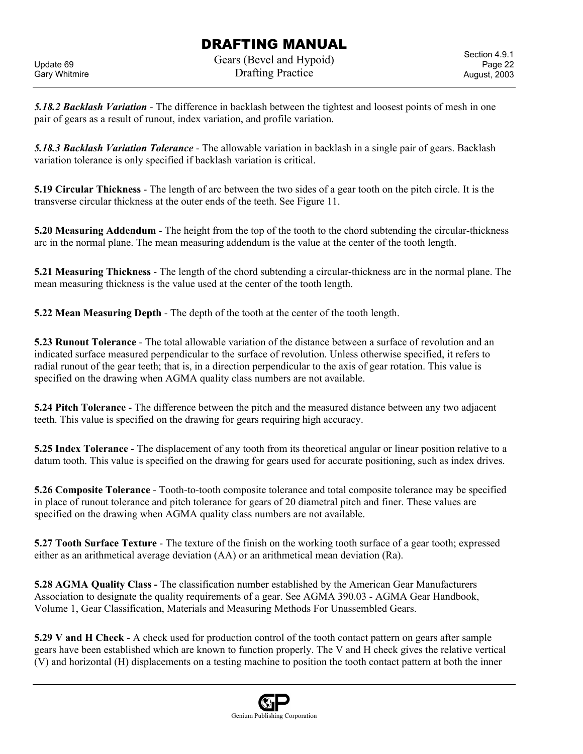Gears (Bevel and Hypoid) Drafting Practice

*5.18.2 Backlash Variation* - The difference in backlash between the tightest and loosest points of mesh in one pair of gears as a result of runout, index variation, and profile variation.

*5.18.3 Backlash Variation Tolerance* - The allowable variation in backlash in a single pair of gears. Backlash variation tolerance is only specified if backlash variation is critical.

**5.19 Circular Thickness** - The length of arc between the two sides of a gear tooth on the pitch circle. It is the transverse circular thickness at the outer ends of the teeth. See Figure 11.

**5.20 Measuring Addendum** - The height from the top of the tooth to the chord subtending the circular-thickness arc in the normal plane. The mean measuring addendum is the value at the center of the tooth length.

**5.21 Measuring Thickness** - The length of the chord subtending a circular-thickness arc in the normal plane. The mean measuring thickness is the value used at the center of the tooth length.

**5.22 Mean Measuring Depth** - The depth of the tooth at the center of the tooth length.

**5.23 Runout Tolerance** - The total allowable variation of the distance between a surface of revolution and an indicated surface measured perpendicular to the surface of revolution. Unless otherwise specified, it refers to radial runout of the gear teeth; that is, in a direction perpendicular to the axis of gear rotation. This value is specified on the drawing when AGMA quality class numbers are not available.

**5.24 Pitch Tolerance** - The difference between the pitch and the measured distance between any two adjacent teeth. This value is specified on the drawing for gears requiring high accuracy.

**5.25 Index Tolerance** - The displacement of any tooth from its theoretical angular or linear position relative to a datum tooth. This value is specified on the drawing for gears used for accurate positioning, such as index drives.

**5.26 Composite Tolerance** - Tooth-to-tooth composite tolerance and total composite tolerance may be specified in place of runout tolerance and pitch tolerance for gears of 20 diametral pitch and finer. These values are specified on the drawing when AGMA quality class numbers are not available.

**5.27 Tooth Surface Texture** - The texture of the finish on the working tooth surface of a gear tooth; expressed either as an arithmetical average deviation (AA) or an arithmetical mean deviation (Ra).

**5.28 AGMA Quality Class -** The classification number established by the American Gear Manufacturers Association to designate the quality requirements of a gear. See AGMA 390.03 - AGMA Gear Handbook, Volume 1, Gear Classification, Materials and Measuring Methods For Unassembled Gears.

**5.29 V and H Check** - A check used for production control of the tooth contact pattern on gears after sample gears have been established which are known to function properly. The V and H check gives the relative vertical (V) and horizontal (H) displacements on a testing machine to position the tooth contact pattern at both the inner